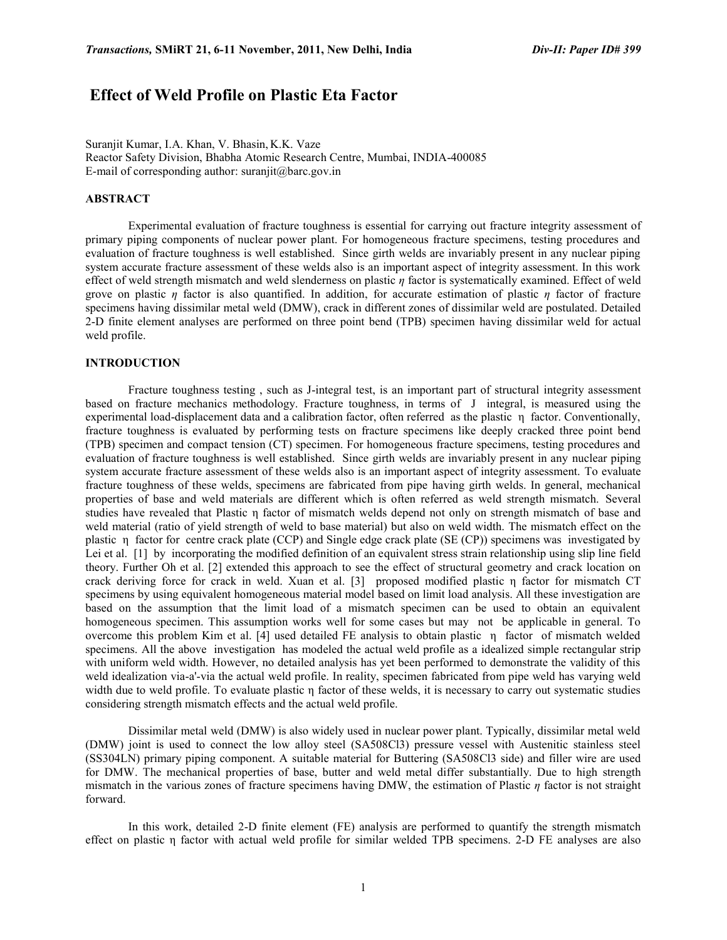# **Effect of Weld Profile on Plastic Eta Factor**

Suranjit Kumar, I.A. Khan, V. Bhasin, K.K. Vaze Reactor Safety Division, Bhabha Atomic Research Centre, Mumbai, INDIA-400085 E-mail of corresponding author: suranjit@barc.gov.in

## **ABSTRACT**

Experimental evaluation of fracture toughness is essential for carrying out fracture integrity assessment of primary piping components of nuclear power plant. For homogeneous fracture specimens, testing procedures and evaluation of fracture toughness is well established. Since girth welds are invariably present in any nuclear piping system accurate fracture assessment of these welds also is an important aspect of integrity assessment. In this work effect of weld strength mismatch and weld slenderness on plastic *η* factor is systematically examined. Effect of weld grove on plastic *η* factor is also quantified. In addition, for accurate estimation of plastic *η* factor of fracture specimens having dissimilar metal weld (DMW), crack in different zones of dissimilar weld are postulated. Detailed 2-D finite element analyses are performed on three point bend (TPB) specimen having dissimilar weld for actual weld profile.

#### **INTRODUCTION**

 Fracture toughness testing , such as J-integral test, is an important part of structural integrity assessment based on fracture mechanics methodology. Fracture toughness, in terms of J integral, is measured using the experimental load-displacement data and a calibration factor, often referred as the plastic η factor. Conventionally, fracture toughness is evaluated by performing tests on fracture specimens like deeply cracked three point bend (TPB) specimen and compact tension (CT) specimen. For homogeneous fracture specimens, testing procedures and evaluation of fracture toughness is well established. Since girth welds are invariably present in any nuclear piping system accurate fracture assessment of these welds also is an important aspect of integrity assessment. To evaluate fracture toughness of these welds, specimens are fabricated from pipe having girth welds. In general, mechanical properties of base and weld materials are different which is often referred as weld strength mismatch. Several studies have revealed that Plastic η factor of mismatch welds depend not only on strength mismatch of base and weld material (ratio of yield strength of weld to base material) but also on weld width. The mismatch effect on the plastic η factor for centre crack plate (CCP) and Single edge crack plate (SE (CP)) specimens was investigated by Lei et al. [1] by incorporating the modified definition of an equivalent stress strain relationship using slip line field theory. Further Oh et al. [2] extended this approach to see the effect of structural geometry and crack location on crack deriving force for crack in weld. Xuan et al. [3] proposed modified plastic η factor for mismatch CT specimens by using equivalent homogeneous material model based on limit load analysis. All these investigation are based on the assumption that the limit load of a mismatch specimen can be used to obtain an equivalent homogeneous specimen. This assumption works well for some cases but may not be applicable in general. To overcome this problem Kim et al. [4] used detailed FE analysis to obtain plastic η factor of mismatch welded specimens. All the above investigation has modeled the actual weld profile as a idealized simple rectangular strip with uniform weld width. However, no detailed analysis has yet been performed to demonstrate the validity of this weld idealization via-a'-via the actual weld profile. In reality, specimen fabricated from pipe weld has varying weld width due to weld profile. To evaluate plastic η factor of these welds, it is necessary to carry out systematic studies considering strength mismatch effects and the actual weld profile.

 Dissimilar metal weld (DMW) is also widely used in nuclear power plant. Typically, dissimilar metal weld (DMW) joint is used to connect the low alloy steel (SA508Cl3) pressure vessel with Austenitic stainless steel (SS304LN) primary piping component. A suitable material for Buttering (SA508Cl3 side) and filler wire are used for DMW. The mechanical properties of base, butter and weld metal differ substantially. Due to high strength mismatch in the various zones of fracture specimens having DMW, the estimation of Plastic *η* factor is not straight forward.

 In this work, detailed 2-D finite element (FE) analysis are performed to quantify the strength mismatch effect on plastic η factor with actual weld profile for similar welded TPB specimens. 2-D FE analyses are also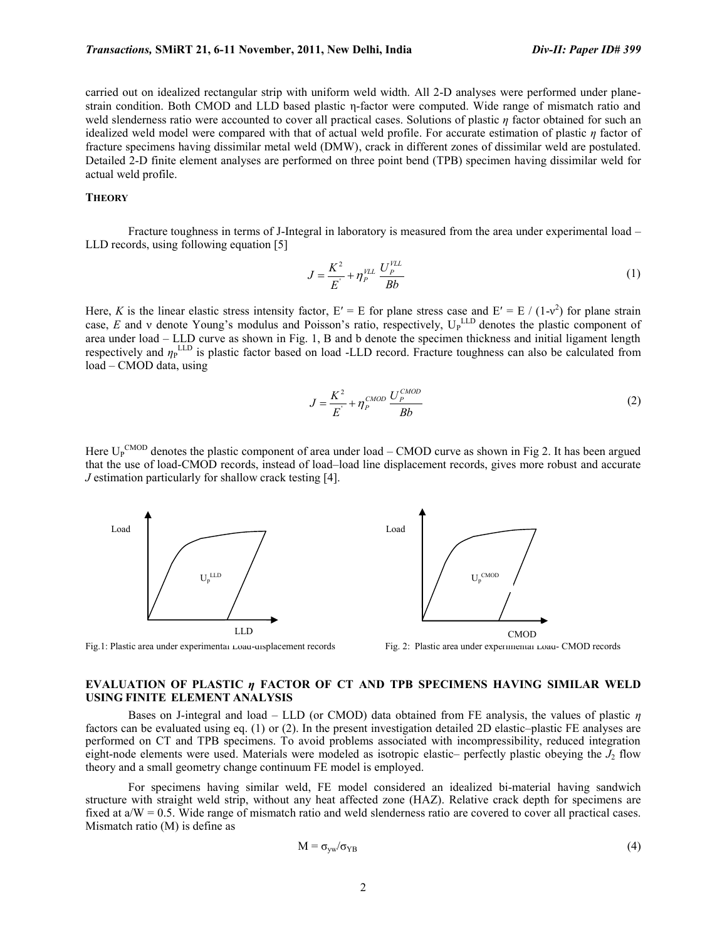carried out on idealized rectangular strip with uniform weld width. All 2-D analyses were performed under planestrain condition. Both CMOD and LLD based plastic η-factor were computed. Wide range of mismatch ratio and weld slenderness ratio were accounted to cover all practical cases. Solutions of plastic *η* factor obtained for such an idealized weld model were compared with that of actual weld profile. For accurate estimation of plastic *η* factor of fracture specimens having dissimilar metal weld (DMW), crack in different zones of dissimilar weld are postulated. Detailed 2-D finite element analyses are performed on three point bend (TPB) specimen having dissimilar weld for actual weld profile.

## **THEORY**

Fracture toughness in terms of J-Integral in laboratory is measured from the area under experimental load – LLD records, using following equation [5]

$$
J = \frac{K^2}{E} + \eta_P^{\text{VLL}} \frac{U_P^{\text{VLL}}}{Bb} \tag{1}
$$

Here, *K* is the linear elastic stress intensity factor,  $E' = E$  for plane stress case and  $E' = E / (1 - v^2)$  for plane strain case, *E* and v denote Young's modulus and Poisson's ratio, respectively, U<sub>P</sub>LLD denotes the plastic component of area under load – LLD curve as shown in Fig. 1, B and b denote the specimen thickness and initial ligament length respectively and  $η<sub>P</sub><sup>LLD</sup>$  is plastic factor based on load -LLD record. Fracture toughness can also be calculated from load – CMOD data, using

$$
J = \frac{K^2}{E} + \eta_P^{CMOD} \frac{U_P^{CMOD}}{Bb} \tag{2}
$$

Here  $U_P^{CMOD}$  denotes the plastic component of area under load – CMOD curve as shown in Fig 2. It has been argued that the use of load-CMOD records, instead of load–load line displacement records, gives more robust and accurate *J* estimation particularly for shallow crack testing [4].





Fig.1: Plastic area under experimental Load-displacement records Fig. 2: Plastic area under experimental Load- CMOD records

### **EVALUATION OF PLASTIC** *η* **FACTOR OF CT AND TPB SPECIMENS HAVING SIMILAR WELD USING FINITE ELEMENT ANALYSIS**

 Bases on J-integral and load – LLD (or CMOD) data obtained from FE analysis, the values of plastic *η*  factors can be evaluated using eq. (1) or (2). In the present investigation detailed 2D elastic–plastic FE analyses are performed on CT and TPB specimens. To avoid problems associated with incompressibility, reduced integration eight-node elements were used. Materials were modeled as isotropic elastic– perfectly plastic obeying the  $J_2$  flow theory and a small geometry change continuum FE model is employed.

For specimens having similar weld, FE model considered an idealized bi-material having sandwich structure with straight weld strip, without any heat affected zone (HAZ). Relative crack depth for specimens are fixed at  $a/W = 0.5$ . Wide range of mismatch ratio and weld slenderness ratio are covered to cover all practical cases. Mismatch ratio (M) is define as

$$
M = \sigma_{yw}/\sigma_{YB} \tag{4}
$$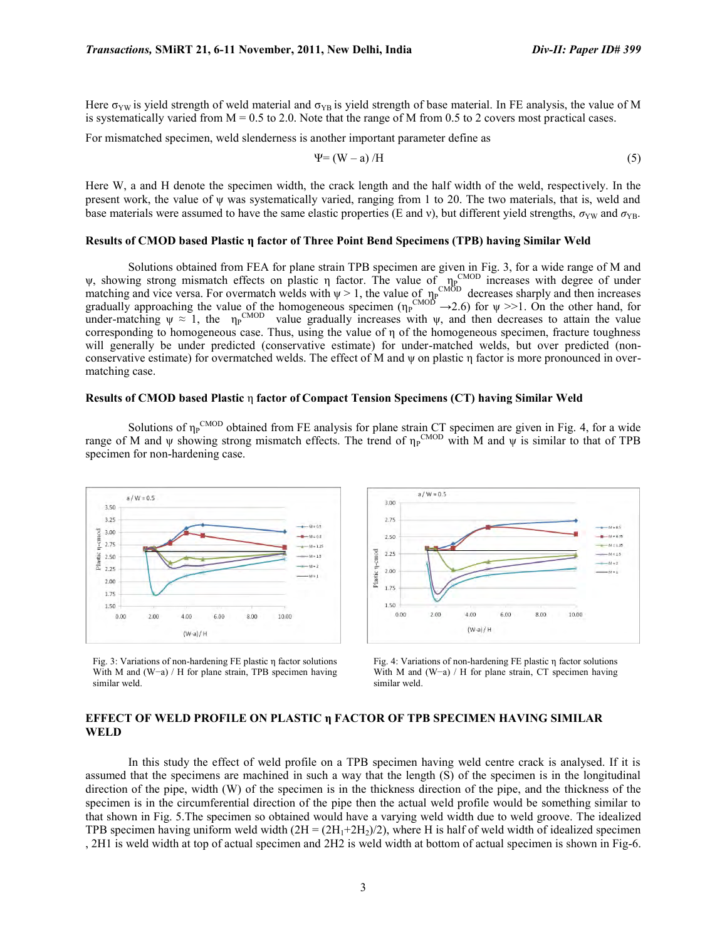Here  $\sigma_{YW}$  is yield strength of weld material and  $\sigma_{YB}$  is yield strength of base material. In FE analysis, the value of M is systematically varied from  $M = 0.5$  to 2.0. Note that the range of M from 0.5 to 2 covers most practical cases.

For mismatched specimen, weld slenderness is another important parameter define as

$$
\Psi = (W - a) / H \tag{5}
$$

Here W, a and H denote the specimen width, the crack length and the half width of the weld, respectively. In the present work, the value of  $\psi$  was systematically varied, ranging from 1 to 20. The two materials, that is, weld and base materials were assumed to have the same elastic properties (E and v), but different yield strengths,  $\sigma_{\rm YW}$  and  $\sigma_{\rm YB}$ .

#### **Results of CMOD based Plastic η factor of Three Point Bend Specimens (TPB) having Similar Weld**

 Solutions obtained from FEA for plane strain TPB specimen are given in Fig. 3, for a wide range of M and  $ψ$ , showing strong mismatch effects on plastic η factor. The value of  $η<sub>P</sub><sup>CMOD</sup>$  increases with degree of under matching and vice versa. For overmatch welds with  $\psi > 1$ , the value of  $n_e^{CMD}$  decreases sharply and then increases gradually approaching the value of the homogeneous specimen ( $\eta_P^{CMD} \rightarrow 2.6$ ) for  $\psi \gg 1$ . On the other hand, for under-matching  $\psi \approx 1$ , the  $\eta_P^{\text{CMOD}}$  value gradually increases with  $\psi$ , and then decreases to attain the value corresponding to homogeneous case. Thus, using the value of η of the homogeneous specimen, fracture toughness will generally be under predicted (conservative estimate) for under-matched welds, but over predicted (nonconservative estimate) for overmatched welds. The effect of M and ψ on plastic η factor is more pronounced in overmatching case.

#### **Results of CMOD based Plastic** η **factor of Compact Tension Specimens (CT) having Similar Weld**

Solutions of  $\eta_P^{\text{CMOD}}$  obtained from FE analysis for plane strain CT specimen are given in Fig. 4, for a wide range of M and  $\psi$  showing strong mismatch effects. The trend of  $\eta_P$ <sup>CMOD</sup> with M and  $\psi$  is similar to that of TPB specimen for non-hardening case.



Fig. 3: Variations of non-hardening FE plastic η factor solutions With M and (W−a) / H for plane strain, TPB specimen having similar weld.



Fig. 4: Variations of non-hardening FE plastic η factor solutions With M and (W−a) / H for plane strain, CT specimen having similar weld.

#### **EFFECT OF WELD PROFILE ON PLASTIC η FACTOR OF TPB SPECIMEN HAVING SIMILAR WELD**

 In this study the effect of weld profile on a TPB specimen having weld centre crack is analysed. If it is assumed that the specimens are machined in such a way that the length (S) of the specimen is in the longitudinal direction of the pipe, width (W) of the specimen is in the thickness direction of the pipe, and the thickness of the specimen is in the circumferential direction of the pipe then the actual weld profile would be something similar to that shown in Fig. 5.The specimen so obtained would have a varying weld width due to weld groove. The idealized TPB specimen having uniform weld width  $(2H = (2H_1+2H_2)/2)$ , where H is half of weld width of idealized specimen , 2H1 is weld width at top of actual specimen and 2H2 is weld width at bottom of actual specimen is shown in Fig-6.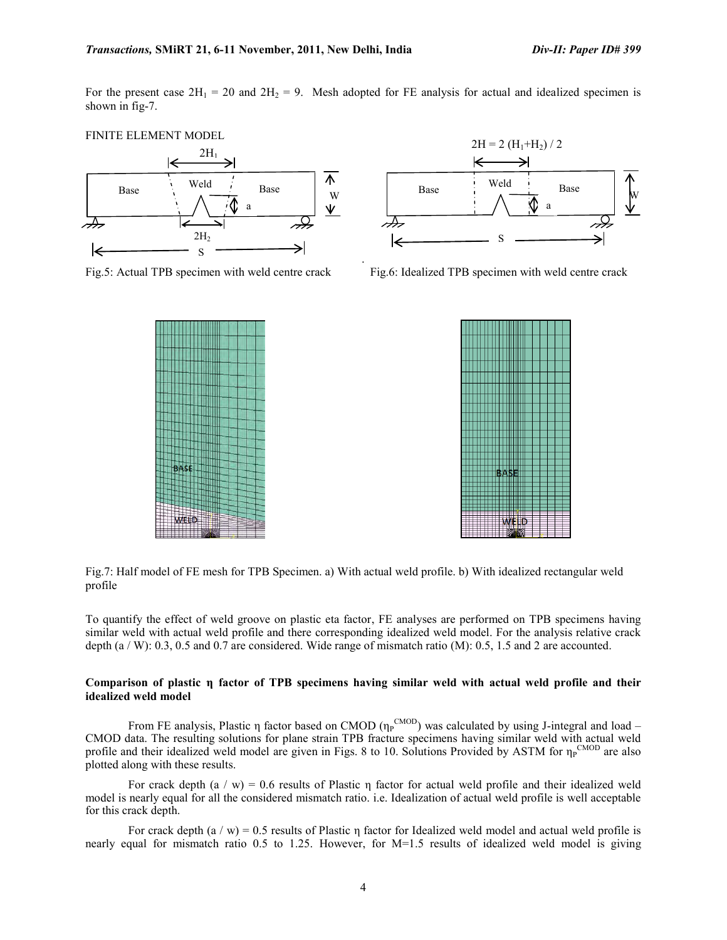For the present case  $2H_1 = 20$  and  $2H_2 = 9$ . Mesh adopted for FE analysis for actual and idealized specimen is shown in fig-7.

#### FINITE ELEMENT MODEL





Fig.5: Actual TPB specimen with weld centre crack Fig.6: Idealized TPB specimen with weld centre crack



Fig.7: Half model of FE mesh for TPB Specimen. a) With actual weld profile. b) With idealized rectangular weld profile

To quantify the effect of weld groove on plastic eta factor, FE analyses are performed on TPB specimens having similar weld with actual weld profile and there corresponding idealized weld model. For the analysis relative crack depth (a / W): 0.3, 0.5 and 0.7 are considered. Wide range of mismatch ratio (M): 0.5, 1.5 and 2 are accounted.

### **Comparison of plastic η factor of TPB specimens having similar weld with actual weld profile and their idealized weld model**

From FE analysis, Plastic  $\eta$  factor based on CMOD ( $\eta_P$ <sup>CMOD</sup>) was calculated by using J-integral and load – CMOD data. The resulting solutions for plane strain TPB fracture specimens having similar weld with actual weld profile and their idealized weld model are given in Figs. 8 to 10. Solutions Provided by ASTM for  $\eta_P^{\text{CMD}}$  are also plotted along with these results.

For crack depth  $(a / w) = 0.6$  results of Plastic η factor for actual weld profile and their idealized weld model is nearly equal for all the considered mismatch ratio. i.e. Idealization of actual weld profile is well acceptable for this crack depth.

 For crack depth (a / w) = 0.5 results of Plastic η factor for Idealized weld model and actual weld profile is nearly equal for mismatch ratio 0.5 to 1.25. However, for M=1.5 results of idealized weld model is giving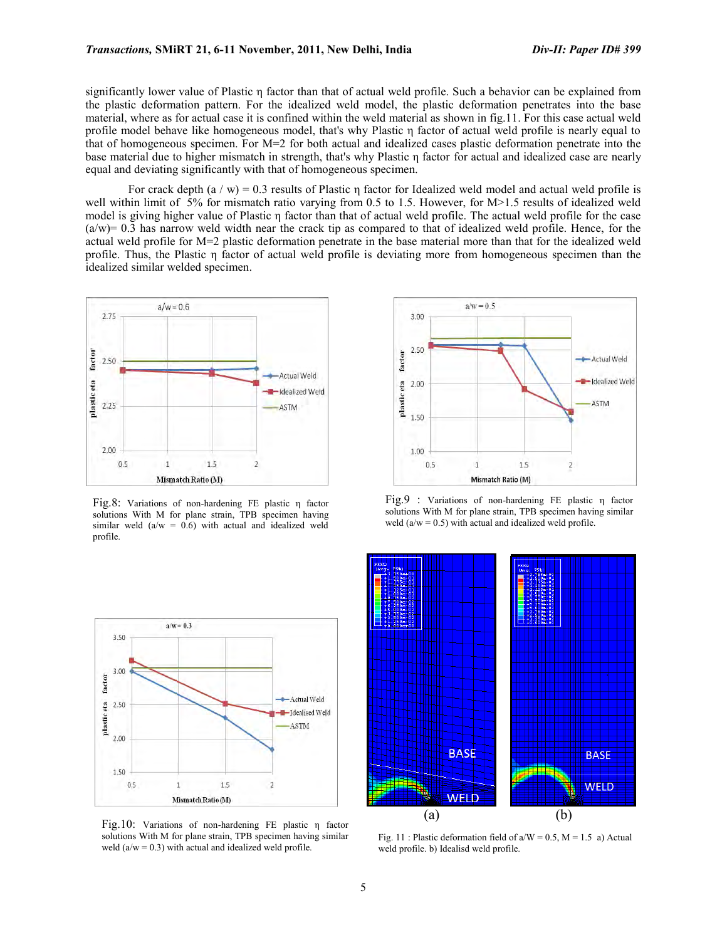significantly lower value of Plastic η factor than that of actual weld profile. Such a behavior can be explained from the plastic deformation pattern. For the idealized weld model, the plastic deformation penetrates into the base material, where as for actual case it is confined within the weld material as shown in fig.11. For this case actual weld profile model behave like homogeneous model, that's why Plastic η factor of actual weld profile is nearly equal to that of homogeneous specimen. For M=2 for both actual and idealized cases plastic deformation penetrate into the base material due to higher mismatch in strength, that's why Plastic η factor for actual and idealized case are nearly equal and deviating significantly with that of homogeneous specimen.

 For crack depth (a / w) = 0.3 results of Plastic η factor for Idealized weld model and actual weld profile is well within limit of 5% for mismatch ratio varying from 0.5 to 1.5. However, for M>1.5 results of idealized weld model is giving higher value of Plastic η factor than that of actual weld profile. The actual weld profile for the case  $(a/w)=0.3$  has narrow weld width near the crack tip as compared to that of idealized weld profile. Hence, for the actual weld profile for M=2 plastic deformation penetrate in the base material more than that for the idealized weld profile. Thus, the Plastic η factor of actual weld profile is deviating more from homogeneous specimen than the idealized similar welded specimen.



Fig.8: Variations of non-hardening FE plastic η factor solutions With M for plane strain, TPB specimen having similar weld  $(a/w = 0.6)$  with actual and idealized weld profile.



solutions With M for plane strain, TPB specimen having similar weld  $(a/w = 0.3)$  with actual and idealized weld profile.



Fig.9 : Variations of non-hardening FE plastic η factor solutions With M for plane strain, TPB specimen having similar weld  $(a/w = 0.5)$  with actual and idealized weld profile.



Fig. 11 : Plastic deformation field of  $a/W = 0.5$ ,  $M = 1.5$  a) Actual weld profile. b) Idealisd weld profile.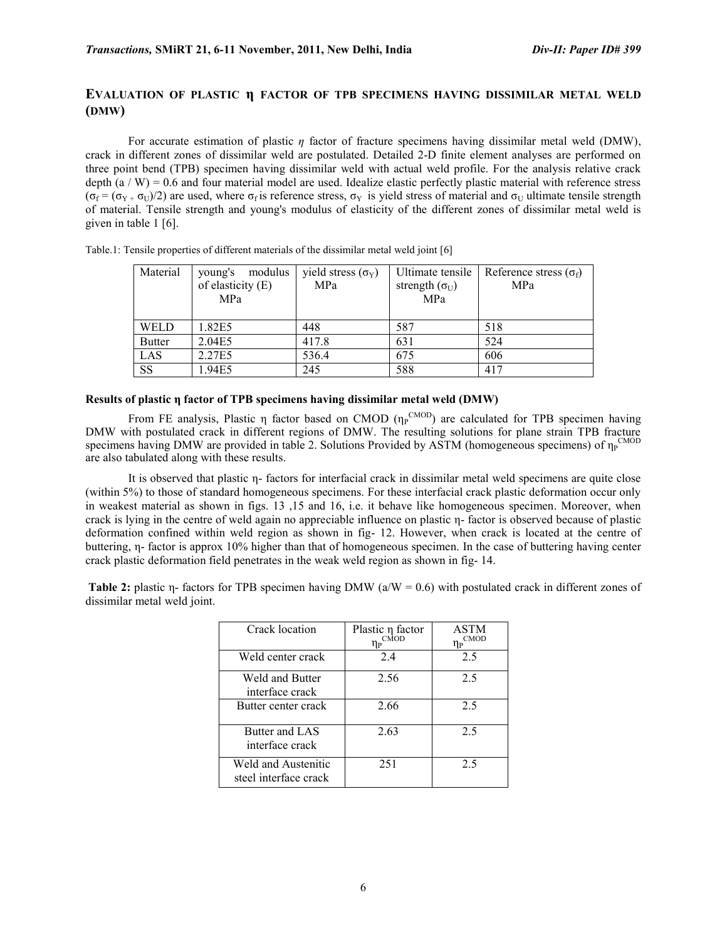# **EVALUATION OF PLASTIC η FACTOR OF TPB SPECIMENS HAVING DISSIMILAR METAL WELD (DMW)**

 For accurate estimation of plastic *η* factor of fracture specimens having dissimilar metal weld (DMW), crack in different zones of dissimilar weld are postulated. Detailed 2-D finite element analyses are performed on three point bend (TPB) specimen having dissimilar weld with actual weld profile. For the analysis relative crack depth  $(a / W) = 0.6$  and four material model are used. Idealize elastic perfectly plastic material with reference stress  $(\sigma_f = (\sigma_{Y} + \sigma_U)/2)$  are used, where  $\sigma_f$  is reference stress,  $\sigma_Y$  is yield stress of material and  $\sigma_U$  ultimate tensile strength of material. Tensile strength and young's modulus of elasticity of the different zones of dissimilar metal weld is given in table 1 [6].

| Material      | modulus<br>young's<br>of elasticity $(E)$<br>MPa | yield stress $(\sigma_Y)$<br>MPa | Ultimate tensile<br>strength $(\sigma_{U})$<br>MPa | Reference stress $(\sigma_f)$<br>MPa |
|---------------|--------------------------------------------------|----------------------------------|----------------------------------------------------|--------------------------------------|
| WELD          | 1.82E5                                           | 448                              | 587                                                | 518                                  |
| <b>Butter</b> | 2.04E5                                           | 417.8                            | 631                                                | 524                                  |
| LAS           | 2.27E5                                           | 536.4                            | 675                                                | 606                                  |
| <b>SS</b>     | 1.94E5                                           | 245                              | 588                                                | 417                                  |

Table.1: Tensile properties of different materials of the dissimilar metal weld joint [6]

### **Results of plastic η factor of TPB specimens having dissimilar metal weld (DMW)**

From FE analysis, Plastic  $\eta$  factor based on CMOD ( $\eta_P^{\text{CMOD}}$ ) are calculated for TPB specimen having DMW with postulated crack in different regions of DMW. The resulting solutions for plane strain TPB fracture specimens having DMW are provided in table 2. Solutions Provided by ASTM (homogeneous specimens) of  $\eta_P^{\text{CMOD}}$ are also tabulated along with these results.

 It is observed that plastic η- factors for interfacial crack in dissimilar metal weld specimens are quite close (within 5%) to those of standard homogeneous specimens. For these interfacial crack plastic deformation occur only in weakest material as shown in figs. 13 ,15 and 16, i.e. it behave like homogeneous specimen. Moreover, when crack is lying in the centre of weld again no appreciable influence on plastic η- factor is observed because of plastic deformation confined within weld region as shown in fig- 12. However, when crack is located at the centre of buttering, η- factor is approx 10% higher than that of homogeneous specimen. In the case of buttering having center crack plastic deformation field penetrates in the weak weld region as shown in fig- 14.

**Table 2:** plastic η- factors for TPB specimen having DMW (a/W = 0.6) with postulated crack in different zones of dissimilar metal weld joint.

| Crack location                                      | Plastic η factor<br><b>CMOD</b><br>ηp | <b>ASTM</b><br><b>CMOD</b><br>Ŋр |
|-----------------------------------------------------|---------------------------------------|----------------------------------|
| Weld center crack                                   | 2.4                                   | 2.5                              |
| Weld and Butter<br>interface crack                  | 2.56                                  | 2.5                              |
| Butter center crack                                 | 2.66                                  | 2.5                              |
| Butter and LAS<br>interface crack                   | 2.63                                  | 2.5                              |
| <b>Weld and Austenitic</b><br>steel interface crack | 251                                   | 2.5                              |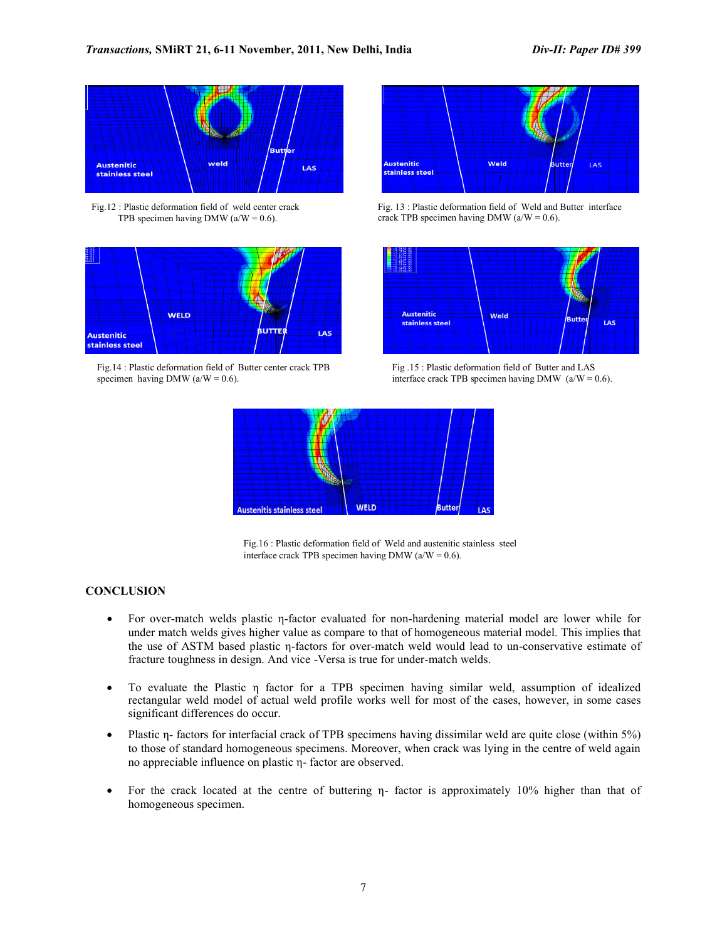

Fig.12 : Plastic deformation field of weld center crack TPB specimen having DMW ( $a/W = 0.6$ ).



Fig.14 : Plastic deformation field of Butter center crack TPB specimen having DMW ( $a/W = 0.6$ ).



Fig. 13 : Plastic deformation field of Weld and Butter interface crack TPB specimen having DMW ( $a/W = 0.6$ ).



Fig .15 : Plastic deformation field of Butter and LAS interface crack TPB specimen having DMW  $(a/W = 0.6)$ .



Fig.16 : Plastic deformation field of Weld and austenitic stainless steel interface crack TPB specimen having DMW ( $a/W = 0.6$ ).

#### **CONCLUSION**

- For over-match welds plastic η-factor evaluated for non-hardening material model are lower while for under match welds gives higher value as compare to that of homogeneous material model. This implies that the use of ASTM based plastic η-factors for over-match weld would lead to un-conservative estimate of fracture toughness in design. And vice -Versa is true for under-match welds.
- To evaluate the Plastic η factor for a TPB specimen having similar weld, assumption of idealized rectangular weld model of actual weld profile works well for most of the cases, however, in some cases significant differences do occur.
- Plastic η- factors for interfacial crack of TPB specimens having dissimilar weld are quite close (within 5%) to those of standard homogeneous specimens. Moreover, when crack was lying in the centre of weld again no appreciable influence on plastic η- factor are observed.
- For the crack located at the centre of buttering η- factor is approximately 10% higher than that of homogeneous specimen.